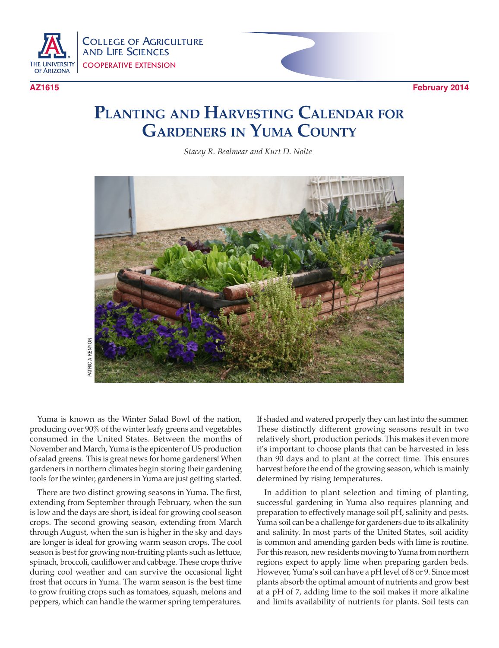



## **Planting and Harvesting Calendar for Gardeners in Yuma County**

*Stacey R. Bealmear and Kurt D. Nolte*



Yuma is known as the Winter Salad Bowl of the nation, producing over 90% of the winter leafy greens and vegetables consumed in the United States. Between the months of November and March, Yuma is the epicenter of US production of salad greens. This is great news for home gardeners! When gardeners in northern climates begin storing their gardening tools for the winter, gardeners in Yuma are just getting started.

There are two distinct growing seasons in Yuma. The first, extending from September through February, when the sun is low and the days are short, is ideal for growing cool season crops. The second growing season, extending from March through August, when the sun is higher in the sky and days are longer is ideal for growing warm season crops. The cool season is best for growing non-fruiting plants such as lettuce, spinach, broccoli, cauliflower and cabbage. These crops thrive during cool weather and can survive the occasional light frost that occurs in Yuma. The warm season is the best time to grow fruiting crops such as tomatoes, squash, melons and peppers, which can handle the warmer spring temperatures.

If shaded and watered properly they can last into the summer. These distinctly different growing seasons result in two relatively short, production periods. This makes it even more it's important to choose plants that can be harvested in less than 90 days and to plant at the correct time. This ensures harvest before the end of the growing season, which is mainly determined by rising temperatures.

In addition to plant selection and timing of planting, successful gardening in Yuma also requires planning and preparation to effectively manage soil pH, salinity and pests. Yuma soil can be a challenge for gardeners due to its alkalinity and salinity. In most parts of the United States, soil acidity is common and amending garden beds with lime is routine. For this reason, new residents moving to Yuma from northern regions expect to apply lime when preparing garden beds. However, Yuma's soil can have a pH level of 8 or 9. Since most plants absorb the optimal amount of nutrients and grow best at a pH of 7, adding lime to the soil makes it more alkaline and limits availability of nutrients for plants. Soil tests can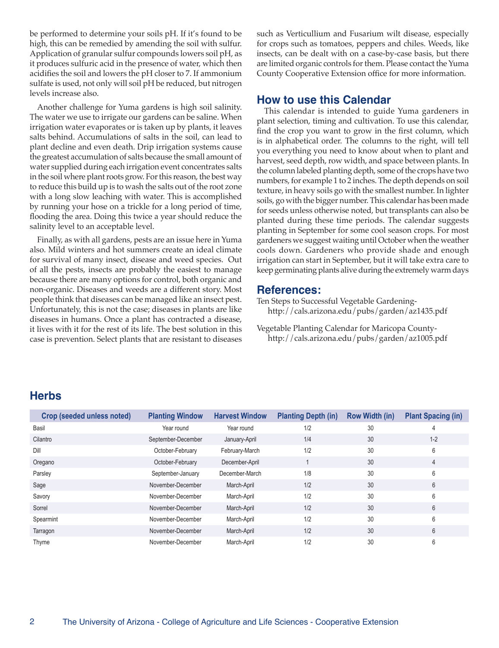be performed to determine your soils pH. If it's found to be high, this can be remedied by amending the soil with sulfur. Application of granular sulfur compounds lowers soil pH, as it produces sulfuric acid in the presence of water, which then acidifies the soil and lowers the pH closer to 7. If ammonium sulfate is used, not only will soil pH be reduced, but nitrogen levels increase also.

Another challenge for Yuma gardens is high soil salinity. The water we use to irrigate our gardens can be saline. When irrigation water evaporates or is taken up by plants, it leaves salts behind. Accumulations of salts in the soil, can lead to plant decline and even death. Drip irrigation systems cause the greatest accumulation of salts because the small amount of water supplied during each irrigation event concentrates salts in the soil where plant roots grow. For this reason, the best way to reduce this build up is to wash the salts out of the root zone with a long slow leaching with water. This is accomplished by running your hose on a trickle for a long period of time, flooding the area. Doing this twice a year should reduce the salinity level to an acceptable level.

Finally, as with all gardens, pests are an issue here in Yuma also. Mild winters and hot summers create an ideal climate for survival of many insect, disease and weed species. Out of all the pests, insects are probably the easiest to manage because there are many options for control, both organic and non-organic. Diseases and weeds are a different story. Most people think that diseases can be managed like an insect pest. Unfortunately, this is not the case; diseases in plants are like diseases in humans. Once a plant has contracted a disease, it lives with it for the rest of its life. The best solution in this case is prevention. Select plants that are resistant to diseases such as Verticullium and Fusarium wilt disease, especially for crops such as tomatoes, peppers and chiles. Weeds, like insects, can be dealt with on a case-by-case basis, but there are limited organic controls for them. Please contact the Yuma County Cooperative Extension office for more information.

## **How to use this Calendar**

This calendar is intended to guide Yuma gardeners in plant selection, timing and cultivation. To use this calendar, find the crop you want to grow in the first column, which is in alphabetical order. The columns to the right, will tell you everything you need to know about when to plant and harvest, seed depth, row width, and space between plants. In the column labeled planting depth, some of the crops have two numbers, for example 1 to 2 inches. The depth depends on soil texture, in heavy soils go with the smallest number. In lighter soils, go with the bigger number. This calendar has been made for seeds unless otherwise noted, but transplants can also be planted during these time periods. The calendar suggests planting in September for some cool season crops. For most gardeners we suggest waiting until October when the weather cools down. Gardeners who provide shade and enough irrigation can start in September, but it will take extra care to keep germinating plants alive during the extremely warm days

## **References:**

Ten Steps to Successful Vegetable Gardeninghttp://cals.arizona.edu/pubs/garden/az1435.pdf

Vegetable Planting Calendar for Maricopa Countyhttp://cals.arizona.edu/pubs/garden/az1005.pdf

## **Herbs**

| Crop (seeded unless noted) | <b>Planting Window</b> | <b>Harvest Window</b> | <b>Planting Depth (in)</b> | <b>Row Width (in)</b> | <b>Plant Spacing (in)</b> |
|----------------------------|------------------------|-----------------------|----------------------------|-----------------------|---------------------------|
| Basil                      | Year round             | Year round            | 1/2                        | 30                    | 4                         |
| Cilantro                   | September-December     | January-April         | 1/4                        | 30                    | $1 - 2$                   |
| Dill                       | October-February       | February-March        | 1/2                        | 30                    | 6                         |
| Oregano                    | October-February       | December-April        |                            | 30                    | $\overline{4}$            |
| Parsley                    | September-January      | December-March        | 1/8                        | 30                    | 6                         |
| Sage                       | November-December      | March-April           | 1/2                        | 30                    | 6                         |
| Savory                     | November-December      | March-April           | 1/2                        | 30                    | 6                         |
| Sorrel                     | November-December      | March-April           | 1/2                        | 30                    | 6                         |
| Spearmint                  | November-December      | March-April           | 1/2                        | 30                    | 6                         |
| Tarragon                   | November-December      | March-April           | 1/2                        | 30                    | 6                         |
| Thyme                      | November-December      | March-April           | 1/2                        | 30                    | 6                         |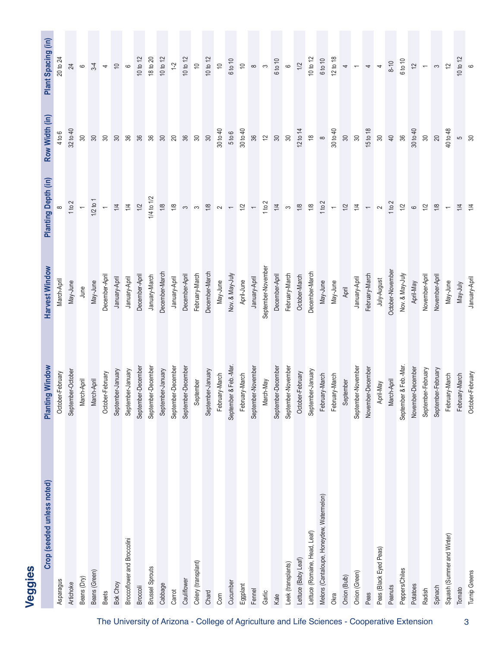| Crop (seeded unless noted)                | <b>Planting Window</b> | Harvest Window     | Planting Depth (in)                  | Row Width (in)             | Plant Spacing (in)            |
|-------------------------------------------|------------------------|--------------------|--------------------------------------|----------------------------|-------------------------------|
| Asparagus                                 | October-February       | March-April        |                                      | 4 to 6                     | 20 to 24                      |
| Artichoke                                 | September-October      | May-June           | 1 to 2                               | 32 to 40                   | 24                            |
| Beans (Dry)                               | March-April            | June               |                                      | œ                          | $\circ$                       |
| Beans (Green)                             | March-April            | May-June           | $1/2$ to 1                           | $\mathbb{S}$               | $3-4$                         |
| <b>Beets</b>                              | October-February       | December-April     |                                      | œ                          | $\overline{a}$                |
| Bok Choy                                  | September-January      | January-April      | $\frac{1}{4}$                        | $\infty$                   | $\frac{1}{2}$                 |
| Broccoflower and Broccolini               | September-January      | January-April      | $\frac{1}{4}$                        | 96                         |                               |
| Broccoli                                  | September-Decembe      | December-Apri      | $1/2$                                | 36                         | 10 to 12                      |
| <b>Brussel Sprouts</b>                    | September-Decembe      | January-March      | 1/4 to 1/2                           | 96                         | 18 to 20                      |
| Cabbage                                   | September-January      | December-March     | $1/8$                                | $\approx$                  | 10 to 12                      |
| Carrot                                    | September-Decembe      | January-April      | $1/8$                                | $\infty$                   | $1-2$<br>10 to 12             |
| Cauliflower                               | September-Decembe      | December-April     |                                      | 96                         |                               |
| Celery (transplant)                       | September              | February-March     |                                      | $\infty$                   | $\overline{\mathsf{C}}$       |
| Chard                                     | September-January      | December-March     |                                      | $\infty$                   | 10 to 12                      |
| Corn                                      | February-March         | May-June           |                                      | 30 to 40                   |                               |
| Cucumber                                  | September & Feb.-Mar   | Nov. & May-July    |                                      | 5 to 6                     | 6 to 10                       |
| Eggplant                                  | February-March         | April-June         |                                      | 30 to 40                   |                               |
| Fennel                                    | September-November     | January-April      |                                      | 36                         | $\approx$ 0 $\approx$         |
| Garlic                                    | March-May              | September-November |                                      | $\widetilde{\phantom{m}}$  |                               |
| Kale                                      | September-December     | December-April     |                                      | $\mathbb{S}$               | 6 to 10                       |
| Leek (transplants)                        | September-November     | February-March     |                                      | $30\,$                     | $\circ$                       |
| Lettuce (Baby Leaf)                       | October-February       | October-March      | $\begin{matrix} 8 \\ 8 \end{matrix}$ | 12 to 14                   | 1/2                           |
| Lettuce (Romaine, Head, Leaf)             | September-January      | December-March     |                                      | $\overset{\circ}{\approx}$ | $10$ to $12$                  |
| Melons (Cantaloupe, Honeydew, Watermelon) | February-March         | May-June           | $\frac{2}{1}$ +                      | $\infty$                   | 6 to 10                       |
| Okra                                      | February-March         | May-June           |                                      | 30 to 40                   | 12 to 18                      |
| Onion (Bulb)                              | September              | April              | $\overline{\mathcal{V}}$             | $\infty$                   |                               |
| Onion (Green)                             | September-November     | January-April      | $\frac{1}{4}$                        | $\approx$                  |                               |
| Peas                                      | November-Decembe       | February-March     | $\sim$ $\sim$                        | 15 to 18                   |                               |
| Peas (Black Eyed Peas)                    | April-May              | July-August        |                                      | $\rm 30$                   |                               |
| Peanuts                                   | March-April            | October-Novembe    | 1 to $2$                             | $40$                       | $8 - 10$                      |
| Peppers/Chiles                            | September & Feb.-Mar   | Nov. & May-July    | $1/2$                                | 36                         | 6 to 10                       |
| Potatoes                                  | November-Decembe       | April-May          | $\circ$                              | 30 to 40                   | $\overline{\mathcal{C}}$      |
| Radish                                    | September-February     | November-April     | $1/2$                                | $\infty$                   | $\leftarrow$                  |
| Spinach                                   | September-February     | November-April     | $1/8$                                | $20\,$                     | $\infty$                      |
| Squash (Summer and Winter)                | February-March         | May-June           | $\overline{\phantom{m}}$             | 40 to 48                   | $\tilde{c}$                   |
| Tomato                                    | February-March         | May-July           | $\frac{14}{4}$                       | ნ<br>გ                     | $\frac{10 \text{ to } 12}{6}$ |
| <b>Turnip Greens</b>                      | October-February       | January-April      |                                      |                            |                               |